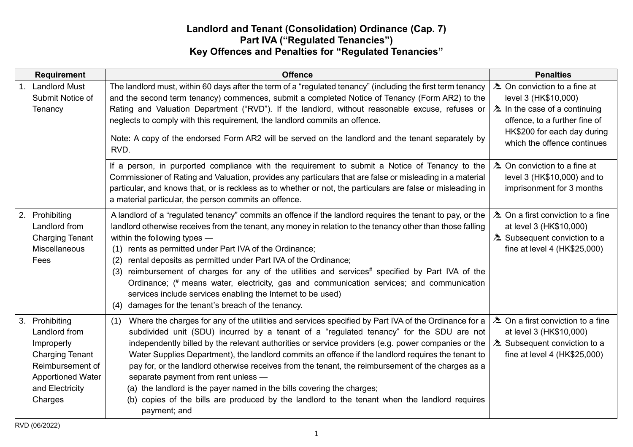## **Landlord and Tenant (Consolidation) Ordinance (Cap. 7) Part IVA ("Regulated Tenancies") Key Offences and Penalties for "Regulated Tenancies"**

| <b>Requirement</b>                                                                                                                                    | <b>Offence</b>                                                                                                                                                                                                                                                                                                                                                                                                                                                                                                                                                                                                                                                                                                                                             | <b>Penalties</b>                                                                                                                                                                                               |
|-------------------------------------------------------------------------------------------------------------------------------------------------------|------------------------------------------------------------------------------------------------------------------------------------------------------------------------------------------------------------------------------------------------------------------------------------------------------------------------------------------------------------------------------------------------------------------------------------------------------------------------------------------------------------------------------------------------------------------------------------------------------------------------------------------------------------------------------------------------------------------------------------------------------------|----------------------------------------------------------------------------------------------------------------------------------------------------------------------------------------------------------------|
| 1. Landlord Must<br>Submit Notice of<br>Tenancy                                                                                                       | The landlord must, within 60 days after the term of a "regulated tenancy" (including the first term tenancy<br>and the second term tenancy) commences, submit a completed Notice of Tenancy (Form AR2) to the<br>Rating and Valuation Department ("RVD"). If the landlord, without reasonable excuse, refuses or<br>neglects to comply with this requirement, the landlord commits an offence.<br>Note: A copy of the endorsed Form AR2 will be served on the landlord and the tenant separately by<br>RVD.                                                                                                                                                                                                                                                | <b><sup>2</sup></b> On conviction to a fine at<br>level 3 (HK\$10,000)<br>$\lambda$ In the case of a continuing<br>offence, to a further fine of<br>HK\$200 for each day during<br>which the offence continues |
|                                                                                                                                                       | If a person, in purported compliance with the requirement to submit a Notice of Tenancy to the<br>Commissioner of Rating and Valuation, provides any particulars that are false or misleading in a material<br>particular, and knows that, or is reckless as to whether or not, the particulars are false or misleading in<br>a material particular, the person commits an offence.                                                                                                                                                                                                                                                                                                                                                                        | LA On conviction to a fine at<br>level 3 (HK\$10,000) and to<br>imprisonment for 3 months                                                                                                                      |
| 2. Prohibiting<br>Landlord from<br><b>Charging Tenant</b><br>Miscellaneous<br>Fees                                                                    | A landlord of a "regulated tenancy" commits an offence if the landlord requires the tenant to pay, or the<br>landlord otherwise receives from the tenant, any money in relation to the tenancy other than those falling<br>within the following types -<br>(1) rents as permitted under Part IVA of the Ordinance;<br>rental deposits as permitted under Part IVA of the Ordinance;<br>(2)<br>(3) reimbursement of charges for any of the utilities and services# specified by Part IVA of the<br>Ordinance; (# means water, electricity, gas and communication services; and communication<br>services include services enabling the Internet to be used)<br>damages for the tenant's breach of the tenancy.<br>(4)                                       | $\lambda$ On a first conviction to a fine<br>at level 3 (HK\$10,000)<br><b>E</b> Subsequent conviction to a<br>fine at level 4 (HK\$25,000)                                                                    |
| 3. Prohibiting<br>Landlord from<br>Improperly<br><b>Charging Tenant</b><br>Reimbursement of<br><b>Apportioned Water</b><br>and Electricity<br>Charges | Where the charges for any of the utilities and services specified by Part IVA of the Ordinance for a<br>(1)<br>subdivided unit (SDU) incurred by a tenant of a "regulated tenancy" for the SDU are not<br>independently billed by the relevant authorities or service providers (e.g. power companies or the<br>Water Supplies Department), the landlord commits an offence if the landlord requires the tenant to<br>pay for, or the landlord otherwise receives from the tenant, the reimbursement of the charges as a<br>separate payment from rent unless -<br>(a) the landlord is the payer named in the bills covering the charges;<br>(b) copies of the bills are produced by the landlord to the tenant when the landlord requires<br>payment; and | <b>E</b> On a first conviction to a fine<br>at level 3 (HK\$10,000)<br><b>E</b> Subsequent conviction to a<br>fine at level 4 (HK\$25,000)                                                                     |